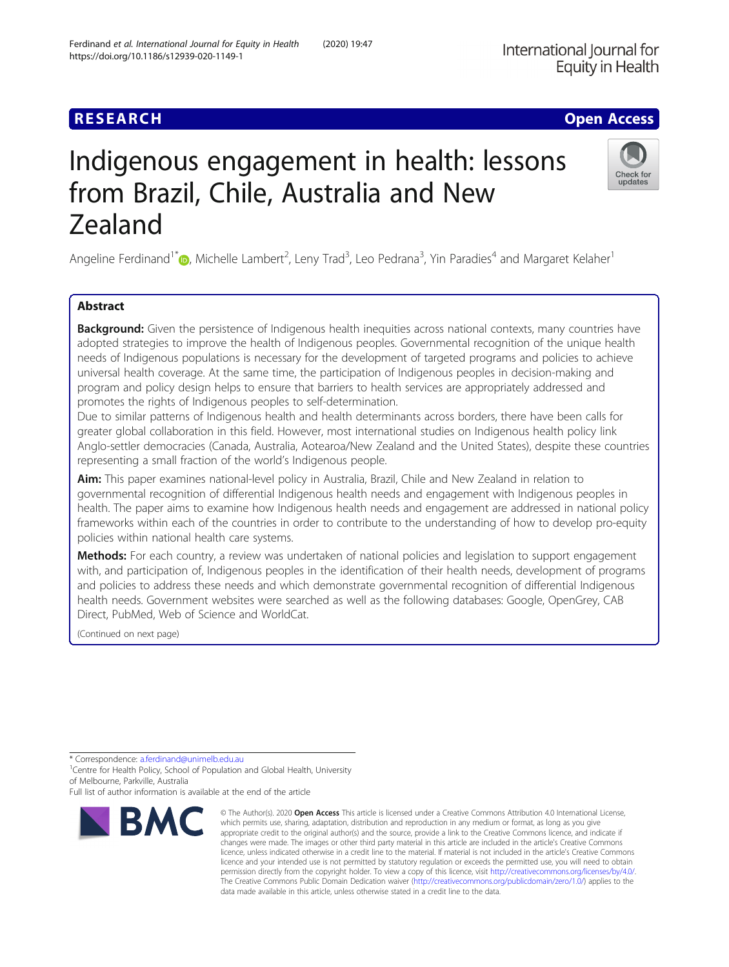## **RESEARCH CHE Open Access**

# Indigenous engagement in health: lessons from Brazil, Chile, Australia and New Zealand

Angeline Ferdinand<sup>1\*</sup> D[,](http://orcid.org/0000-0002-4816-5539) Michelle Lambert<sup>2</sup>, Leny Trad<sup>3</sup>, Leo Pedrana<sup>3</sup>, Yin Paradies<sup>4</sup> and Margaret Kelaher<sup>1</sup>

## Abstract

Background: Given the persistence of Indigenous health inequities across national contexts, many countries have adopted strategies to improve the health of Indigenous peoples. Governmental recognition of the unique health needs of Indigenous populations is necessary for the development of targeted programs and policies to achieve universal health coverage. At the same time, the participation of Indigenous peoples in decision-making and program and policy design helps to ensure that barriers to health services are appropriately addressed and promotes the rights of Indigenous peoples to self-determination.

Due to similar patterns of Indigenous health and health determinants across borders, there have been calls for greater global collaboration in this field. However, most international studies on Indigenous health policy link Anglo-settler democracies (Canada, Australia, Aotearoa/New Zealand and the United States), despite these countries representing a small fraction of the world's Indigenous people.

Aim: This paper examines national-level policy in Australia, Brazil, Chile and New Zealand in relation to governmental recognition of differential Indigenous health needs and engagement with Indigenous peoples in health. The paper aims to examine how Indigenous health needs and engagement are addressed in national policy frameworks within each of the countries in order to contribute to the understanding of how to develop pro-equity policies within national health care systems.

Methods: For each country, a review was undertaken of national policies and legislation to support engagement with, and participation of, Indigenous peoples in the identification of their health needs, development of programs and policies to address these needs and which demonstrate governmental recognition of differential Indigenous health needs. Government websites were searched as well as the following databases: Google, OpenGrey, CAB Direct, PubMed, Web of Science and WorldCat.

(Continued on next page)

<sup>1</sup> Centre for Health Policy, School of Population and Global Health, University of Melbourne, Parkville, Australia



<sup>©</sup> The Author(s), 2020 **Open Access** This article is licensed under a Creative Commons Attribution 4.0 International License, which permits use, sharing, adaptation, distribution and reproduction in any medium or format, as long as you give appropriate credit to the original author(s) and the source, provide a link to the Creative Commons licence, and indicate if changes were made. The images or other third party material in this article are included in the article's Creative Commons licence, unless indicated otherwise in a credit line to the material. If material is not included in the article's Creative Commons licence and your intended use is not permitted by statutory regulation or exceeds the permitted use, you will need to obtain permission directly from the copyright holder. To view a copy of this licence, visit [http://creativecommons.org/licenses/by/4.0/.](http://creativecommons.org/licenses/by/4.0/) The Creative Commons Public Domain Dedication waiver [\(http://creativecommons.org/publicdomain/zero/1.0/](http://creativecommons.org/publicdomain/zero/1.0/)) applies to the data made available in this article, unless otherwise stated in a credit line to the data.





<sup>\*</sup> Correspondence: [a.ferdinand@unimelb.edu.au](mailto:a.ferdinand@unimelb.edu.au) <sup>1</sup>

Full list of author information is available at the end of the article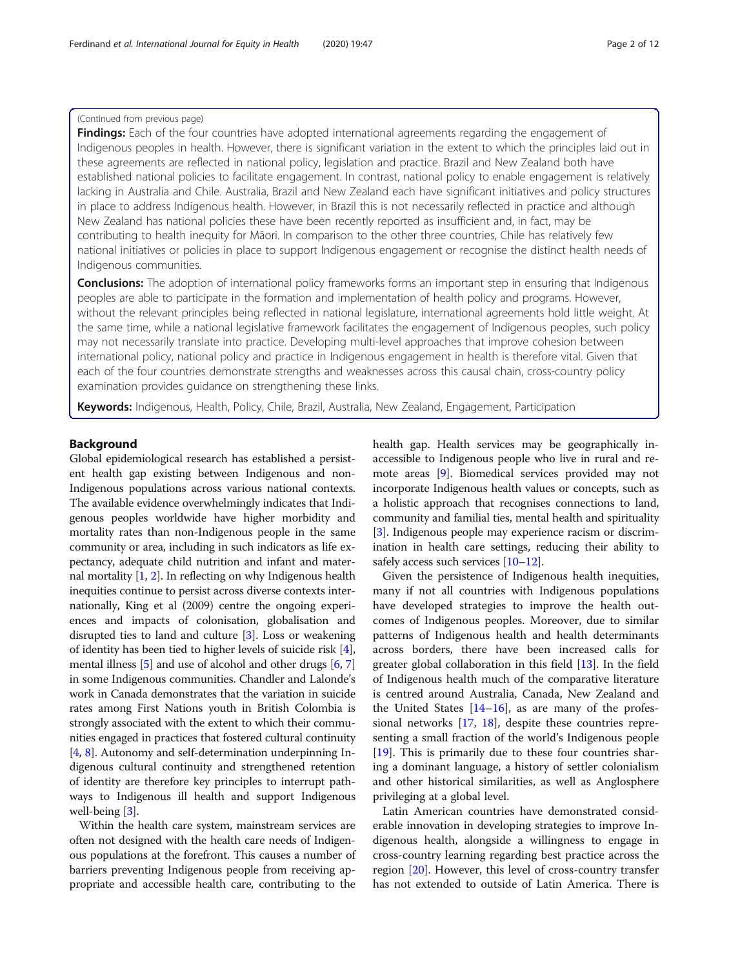## (Continued from previous page)

Findings: Each of the four countries have adopted international agreements regarding the engagement of Indigenous peoples in health. However, there is significant variation in the extent to which the principles laid out in these agreements are reflected in national policy, legislation and practice. Brazil and New Zealand both have established national policies to facilitate engagement. In contrast, national policy to enable engagement is relatively lacking in Australia and Chile. Australia, Brazil and New Zealand each have significant initiatives and policy structures in place to address Indigenous health. However, in Brazil this is not necessarily reflected in practice and although New Zealand has national policies these have been recently reported as insufficient and, in fact, may be contributing to health inequity for Māori. In comparison to the other three countries, Chile has relatively few national initiatives or policies in place to support Indigenous engagement or recognise the distinct health needs of Indigenous communities.

**Conclusions:** The adoption of international policy frameworks forms an important step in ensuring that Indigenous peoples are able to participate in the formation and implementation of health policy and programs. However, without the relevant principles being reflected in national legislature, international agreements hold little weight. At the same time, while a national legislative framework facilitates the engagement of Indigenous peoples, such policy may not necessarily translate into practice. Developing multi-level approaches that improve cohesion between international policy, national policy and practice in Indigenous engagement in health is therefore vital. Given that each of the four countries demonstrate strengths and weaknesses across this causal chain, cross-country policy examination provides guidance on strengthening these links.

Keywords: Indigenous, Health, Policy, Chile, Brazil, Australia, New Zealand, Engagement, Participation

## Background

Global epidemiological research has established a persistent health gap existing between Indigenous and non-Indigenous populations across various national contexts. The available evidence overwhelmingly indicates that Indigenous peoples worldwide have higher morbidity and mortality rates than non-Indigenous people in the same community or area, including in such indicators as life expectancy, adequate child nutrition and infant and maternal mortality [[1](#page-9-0), [2](#page-9-0)]. In reflecting on why Indigenous health inequities continue to persist across diverse contexts internationally, King et al (2009) centre the ongoing experiences and impacts of colonisation, globalisation and disrupted ties to land and culture [\[3\]](#page-9-0). Loss or weakening of identity has been tied to higher levels of suicide risk [[4](#page-9-0)], mental illness [\[5](#page-10-0)] and use of alcohol and other drugs [\[6,](#page-10-0) [7](#page-10-0)] in some Indigenous communities. Chandler and Lalonde's work in Canada demonstrates that the variation in suicide rates among First Nations youth in British Colombia is strongly associated with the extent to which their communities engaged in practices that fostered cultural continuity [[4,](#page-9-0) [8](#page-10-0)]. Autonomy and self-determination underpinning Indigenous cultural continuity and strengthened retention of identity are therefore key principles to interrupt pathways to Indigenous ill health and support Indigenous well-being [[3](#page-9-0)].

Within the health care system, mainstream services are often not designed with the health care needs of Indigenous populations at the forefront. This causes a number of barriers preventing Indigenous people from receiving appropriate and accessible health care, contributing to the

health gap. Health services may be geographically inaccessible to Indigenous people who live in rural and remote areas [[9\]](#page-10-0). Biomedical services provided may not incorporate Indigenous health values or concepts, such as a holistic approach that recognises connections to land, community and familial ties, mental health and spirituality [[3\]](#page-9-0). Indigenous people may experience racism or discrimination in health care settings, reducing their ability to safely access such services  $[10-12]$  $[10-12]$  $[10-12]$  $[10-12]$ .

Given the persistence of Indigenous health inequities, many if not all countries with Indigenous populations have developed strategies to improve the health outcomes of Indigenous peoples. Moreover, due to similar patterns of Indigenous health and health determinants across borders, there have been increased calls for greater global collaboration in this field [\[13](#page-10-0)]. In the field of Indigenous health much of the comparative literature is centred around Australia, Canada, New Zealand and the United States [[14](#page-10-0)–[16](#page-10-0)], as are many of the professional networks [[17](#page-10-0), [18\]](#page-10-0), despite these countries representing a small fraction of the world's Indigenous people [[19\]](#page-10-0). This is primarily due to these four countries sharing a dominant language, a history of settler colonialism and other historical similarities, as well as Anglosphere privileging at a global level.

Latin American countries have demonstrated considerable innovation in developing strategies to improve Indigenous health, alongside a willingness to engage in cross-country learning regarding best practice across the region [[20\]](#page-10-0). However, this level of cross-country transfer has not extended to outside of Latin America. There is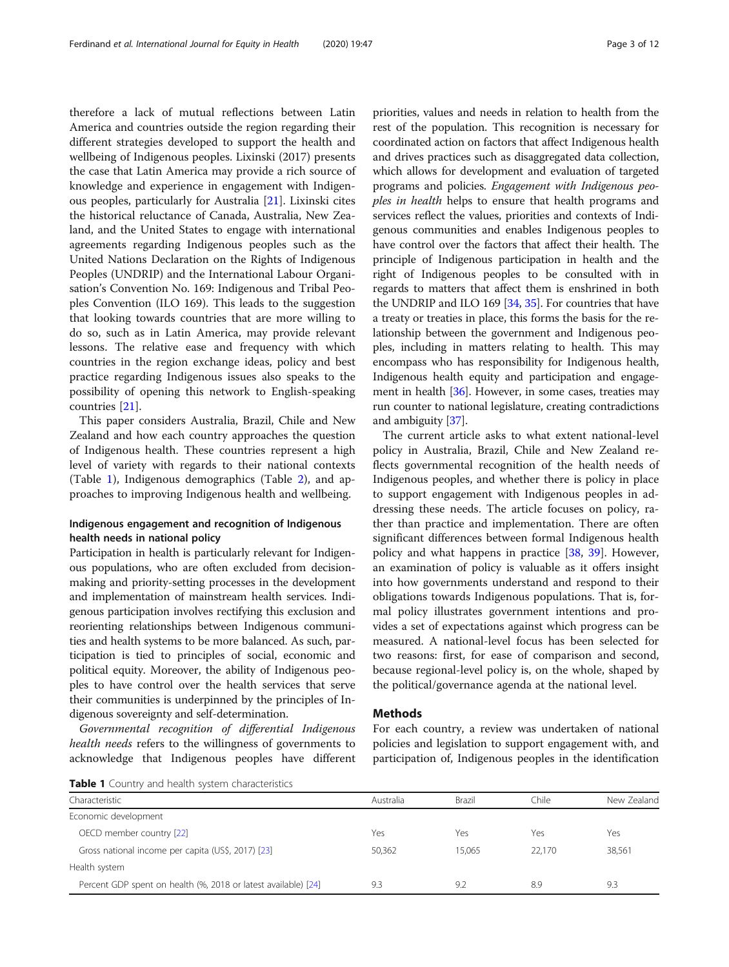therefore a lack of mutual reflections between Latin America and countries outside the region regarding their different strategies developed to support the health and wellbeing of Indigenous peoples. Lixinski (2017) presents the case that Latin America may provide a rich source of knowledge and experience in engagement with Indigenous peoples, particularly for Australia [\[21](#page-10-0)]. Lixinski cites the historical reluctance of Canada, Australia, New Zealand, and the United States to engage with international agreements regarding Indigenous peoples such as the United Nations Declaration on the Rights of Indigenous Peoples (UNDRIP) and the International Labour Organisation's Convention No. 169: Indigenous and Tribal Peoples Convention (ILO 169). This leads to the suggestion that looking towards countries that are more willing to do so, such as in Latin America, may provide relevant lessons. The relative ease and frequency with which countries in the region exchange ideas, policy and best practice regarding Indigenous issues also speaks to the possibility of opening this network to English-speaking countries [[21](#page-10-0)].

This paper considers Australia, Brazil, Chile and New Zealand and how each country approaches the question of Indigenous health. These countries represent a high level of variety with regards to their national contexts (Table 1), Indigenous demographics (Table [2](#page-3-0)), and approaches to improving Indigenous health and wellbeing.

## Indigenous engagement and recognition of Indigenous health needs in national policy

Participation in health is particularly relevant for Indigenous populations, who are often excluded from decisionmaking and priority-setting processes in the development and implementation of mainstream health services. Indigenous participation involves rectifying this exclusion and reorienting relationships between Indigenous communities and health systems to be more balanced. As such, participation is tied to principles of social, economic and political equity. Moreover, the ability of Indigenous peoples to have control over the health services that serve their communities is underpinned by the principles of Indigenous sovereignty and self-determination.

Governmental recognition of differential Indigenous health needs refers to the willingness of governments to acknowledge that Indigenous peoples have different

priorities, values and needs in relation to health from the rest of the population. This recognition is necessary for coordinated action on factors that affect Indigenous health and drives practices such as disaggregated data collection, which allows for development and evaluation of targeted programs and policies. Engagement with Indigenous peoples in health helps to ensure that health programs and services reflect the values, priorities and contexts of Indigenous communities and enables Indigenous peoples to have control over the factors that affect their health. The principle of Indigenous participation in health and the right of Indigenous peoples to be consulted with in regards to matters that affect them is enshrined in both the UNDRIP and ILO 169 [[34](#page-10-0), [35\]](#page-10-0). For countries that have a treaty or treaties in place, this forms the basis for the relationship between the government and Indigenous peoples, including in matters relating to health. This may encompass who has responsibility for Indigenous health, Indigenous health equity and participation and engage-ment in health [\[36\]](#page-10-0). However, in some cases, treaties may run counter to national legislature, creating contradictions and ambiguity [\[37](#page-10-0)].

The current article asks to what extent national-level policy in Australia, Brazil, Chile and New Zealand reflects governmental recognition of the health needs of Indigenous peoples, and whether there is policy in place to support engagement with Indigenous peoples in addressing these needs. The article focuses on policy, rather than practice and implementation. There are often significant differences between formal Indigenous health policy and what happens in practice [[38,](#page-10-0) [39\]](#page-10-0). However, an examination of policy is valuable as it offers insight into how governments understand and respond to their obligations towards Indigenous populations. That is, formal policy illustrates government intentions and provides a set of expectations against which progress can be measured. A national-level focus has been selected for two reasons: first, for ease of comparison and second, because regional-level policy is, on the whole, shaped by the political/governance agenda at the national level.

## Methods

For each country, a review was undertaken of national policies and legislation to support engagement with, and participation of, Indigenous peoples in the identification

Table 1 Country and health system characteristics

| <b>Table I</b> Country and nealth system characteristics       |           |               |        |             |  |
|----------------------------------------------------------------|-----------|---------------|--------|-------------|--|
| Characteristic                                                 | Australia | <b>Brazil</b> | Chile  | New Zealand |  |
| Economic development                                           |           |               |        |             |  |
| OECD member country [22]                                       | Yes       | Yes           | Yes    | Yes         |  |
| Gross national income per capita (US\$, 2017) [23]             | 50,362    | 15.065        | 22.170 | 38,561      |  |
| Health system                                                  |           |               |        |             |  |
| Percent GDP spent on health (%, 2018 or latest available) [24] | 93        | 9.2           | 8.9    | 9.3         |  |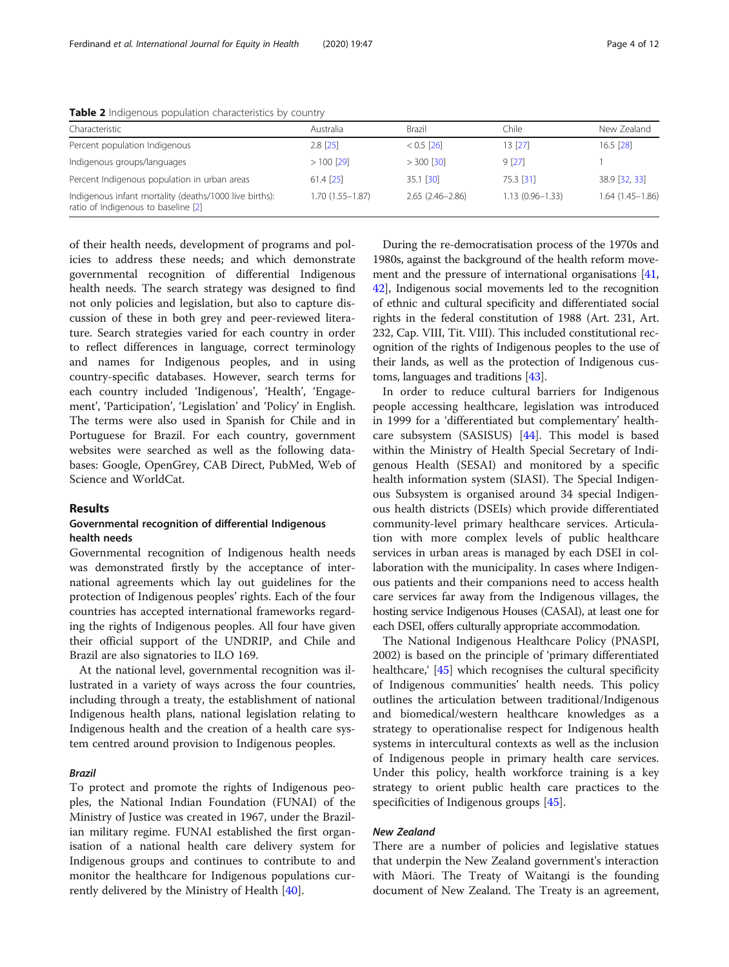| Characteristic                                                                                | Australia        | <b>Brazil</b>       | Chile               | New Zealand       |
|-----------------------------------------------------------------------------------------------|------------------|---------------------|---------------------|-------------------|
| Percent population Indigenous                                                                 | $2.8$ [ $25$ ]   | $< 0.5$ [26]        | 13 [27]             | $16.5$ [28]       |
| Indigenous groups/languages                                                                   | $>100$ [29]      | $> 300$ [30]        | 9[27]               |                   |
| Percent Indigenous population in urban areas                                                  | 61.4 [25]        | $35.1$ [ $30$ ]     | 75.3 [31]           | 38.9 [32, 33]     |
| Indigenous infant mortality (deaths/1000 live births):<br>ratio of Indigenous to baseline [2] | 1.70 (1.55-1.87) | $2.65(2.46 - 2.86)$ | $1.13(0.96 - 1.33)$ | $1.64(1.45-1.86)$ |

<span id="page-3-0"></span>Table 2 Indigenous population characteristics by country

of their health needs, development of programs and policies to address these needs; and which demonstrate governmental recognition of differential Indigenous health needs. The search strategy was designed to find not only policies and legislation, but also to capture discussion of these in both grey and peer-reviewed literature. Search strategies varied for each country in order to reflect differences in language, correct terminology and names for Indigenous peoples, and in using country-specific databases. However, search terms for each country included 'Indigenous', 'Health', 'Engagement', 'Participation', 'Legislation' and 'Policy' in English. The terms were also used in Spanish for Chile and in Portuguese for Brazil. For each country, government websites were searched as well as the following databases: Google, OpenGrey, CAB Direct, PubMed, Web of Science and WorldCat.

## Results

## Governmental recognition of differential Indigenous health needs

Governmental recognition of Indigenous health needs was demonstrated firstly by the acceptance of international agreements which lay out guidelines for the protection of Indigenous peoples' rights. Each of the four countries has accepted international frameworks regarding the rights of Indigenous peoples. All four have given their official support of the UNDRIP, and Chile and Brazil are also signatories to ILO 169.

At the national level, governmental recognition was illustrated in a variety of ways across the four countries, including through a treaty, the establishment of national Indigenous health plans, national legislation relating to Indigenous health and the creation of a health care system centred around provision to Indigenous peoples.

## Brazil

To protect and promote the rights of Indigenous peoples, the National Indian Foundation (FUNAI) of the Ministry of Justice was created in 1967, under the Brazilian military regime. FUNAI established the first organisation of a national health care delivery system for Indigenous groups and continues to contribute to and monitor the healthcare for Indigenous populations currently delivered by the Ministry of Health [\[40](#page-10-0)].

During the re-democratisation process of the 1970s and 1980s, against the background of the health reform movement and the pressure of international organisations [[41](#page-10-0), [42](#page-10-0)], Indigenous social movements led to the recognition of ethnic and cultural specificity and differentiated social rights in the federal constitution of 1988 (Art. 231, Art. 232, Cap. VIII, Tit. VIII). This included constitutional recognition of the rights of Indigenous peoples to the use of their lands, as well as the protection of Indigenous customs, languages and traditions [\[43\]](#page-10-0).

In order to reduce cultural barriers for Indigenous people accessing healthcare, legislation was introduced in 1999 for a 'differentiated but complementary' healthcare subsystem (SASISUS) [[44](#page-10-0)]. This model is based within the Ministry of Health Special Secretary of Indigenous Health (SESAI) and monitored by a specific health information system (SIASI). The Special Indigenous Subsystem is organised around 34 special Indigenous health districts (DSEIs) which provide differentiated community-level primary healthcare services. Articulation with more complex levels of public healthcare services in urban areas is managed by each DSEI in collaboration with the municipality. In cases where Indigenous patients and their companions need to access health care services far away from the Indigenous villages, the hosting service Indigenous Houses (CASAI), at least one for each DSEI, offers culturally appropriate accommodation.

The National Indigenous Healthcare Policy (PNASPI, 2002) is based on the principle of 'primary differentiated healthcare, [\[45](#page-10-0)] which recognises the cultural specificity of Indigenous communities' health needs. This policy outlines the articulation between traditional/Indigenous and biomedical/western healthcare knowledges as a strategy to operationalise respect for Indigenous health systems in intercultural contexts as well as the inclusion of Indigenous people in primary health care services. Under this policy, health workforce training is a key strategy to orient public health care practices to the specificities of Indigenous groups [\[45](#page-10-0)].

## New Zealand

There are a number of policies and legislative statues that underpin the New Zealand government's interaction with Māori. The Treaty of Waitangi is the founding document of New Zealand. The Treaty is an agreement,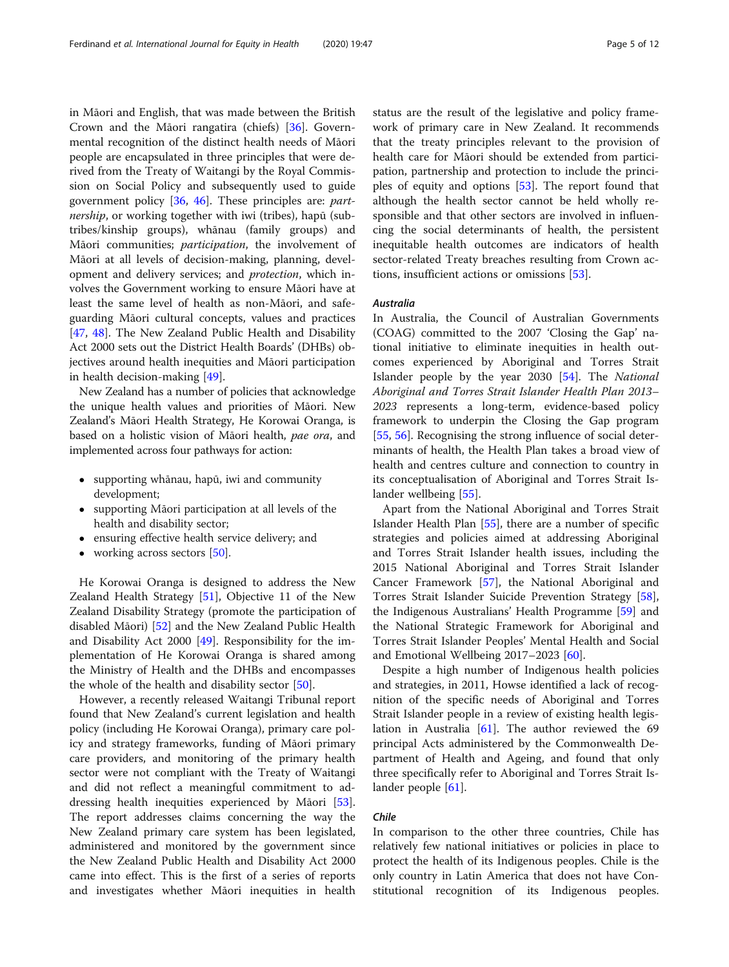in Māori and English, that was made between the British Crown and the Māori rangatira (chiefs) [\[36](#page-10-0)]. Governmental recognition of the distinct health needs of Māori people are encapsulated in three principles that were derived from the Treaty of Waitangi by the Royal Commission on Social Policy and subsequently used to guide government policy [[36,](#page-10-0) [46](#page-10-0)]. These principles are: partnership, or working together with iwi (tribes), hapū (subtribes/kinship groups), whānau (family groups) and Māori communities; participation, the involvement of Māori at all levels of decision-making, planning, development and delivery services; and protection, which involves the Government working to ensure Māori have at least the same level of health as non-Māori, and safeguarding Māori cultural concepts, values and practices [[47,](#page-10-0) [48](#page-10-0)]. The New Zealand Public Health and Disability Act 2000 sets out the District Health Boards' (DHBs) objectives around health inequities and Māori participation in health decision-making [[49\]](#page-10-0).

New Zealand has a number of policies that acknowledge the unique health values and priorities of Māori. New Zealand's Māori Health Strategy, He Korowai Oranga, is based on a holistic vision of Māori health, pae ora, and implemented across four pathways for action:

- supporting whānau, hapū, iwi and community development;
- supporting Māori participation at all levels of the health and disability sector;
- ensuring effective health service delivery; and
- working across sectors [[50\]](#page-10-0).

He Korowai Oranga is designed to address the New Zealand Health Strategy [[51\]](#page-10-0), Objective 11 of the New Zealand Disability Strategy (promote the participation of disabled Māori) [\[52](#page-10-0)] and the New Zealand Public Health and Disability Act 2000 [[49](#page-10-0)]. Responsibility for the implementation of He Korowai Oranga is shared among the Ministry of Health and the DHBs and encompasses the whole of the health and disability sector [\[50](#page-10-0)].

However, a recently released Waitangi Tribunal report found that New Zealand's current legislation and health policy (including He Korowai Oranga), primary care policy and strategy frameworks, funding of Māori primary care providers, and monitoring of the primary health sector were not compliant with the Treaty of Waitangi and did not reflect a meaningful commitment to addressing health inequities experienced by Māori [\[53](#page-10-0)]. The report addresses claims concerning the way the New Zealand primary care system has been legislated, administered and monitored by the government since the New Zealand Public Health and Disability Act 2000 came into effect. This is the first of a series of reports and investigates whether Māori inequities in health status are the result of the legislative and policy framework of primary care in New Zealand. It recommends that the treaty principles relevant to the provision of health care for Māori should be extended from participation, partnership and protection to include the principles of equity and options [\[53](#page-10-0)]. The report found that although the health sector cannot be held wholly responsible and that other sectors are involved in influencing the social determinants of health, the persistent inequitable health outcomes are indicators of health sector-related Treaty breaches resulting from Crown actions, insufficient actions or omissions [[53\]](#page-10-0).

#### Australia

In Australia, the Council of Australian Governments (COAG) committed to the 2007 'Closing the Gap' national initiative to eliminate inequities in health outcomes experienced by Aboriginal and Torres Strait Islander people by the year 2030 [[54\]](#page-10-0). The National Aboriginal and Torres Strait Islander Health Plan 2013– 2023 represents a long-term, evidence-based policy framework to underpin the Closing the Gap program [[55,](#page-10-0) [56\]](#page-10-0). Recognising the strong influence of social determinants of health, the Health Plan takes a broad view of health and centres culture and connection to country in its conceptualisation of Aboriginal and Torres Strait Islander wellbeing [[55\]](#page-10-0).

Apart from the National Aboriginal and Torres Strait Islander Health Plan [[55\]](#page-10-0), there are a number of specific strategies and policies aimed at addressing Aboriginal and Torres Strait Islander health issues, including the 2015 National Aboriginal and Torres Strait Islander Cancer Framework [[57](#page-10-0)], the National Aboriginal and Torres Strait Islander Suicide Prevention Strategy [\[58](#page-10-0)], the Indigenous Australians' Health Programme [[59\]](#page-10-0) and the National Strategic Framework for Aboriginal and Torres Strait Islander Peoples' Mental Health and Social and Emotional Wellbeing 2017–2023 [[60](#page-10-0)].

Despite a high number of Indigenous health policies and strategies, in 2011, Howse identified a lack of recognition of the specific needs of Aboriginal and Torres Strait Islander people in a review of existing health legislation in Australia  $[61]$  $[61]$ . The author reviewed the 69 principal Acts administered by the Commonwealth Department of Health and Ageing, and found that only three specifically refer to Aboriginal and Torres Strait Islander people [\[61](#page-11-0)].

### Chile

In comparison to the other three countries, Chile has relatively few national initiatives or policies in place to protect the health of its Indigenous peoples. Chile is the only country in Latin America that does not have Constitutional recognition of its Indigenous peoples.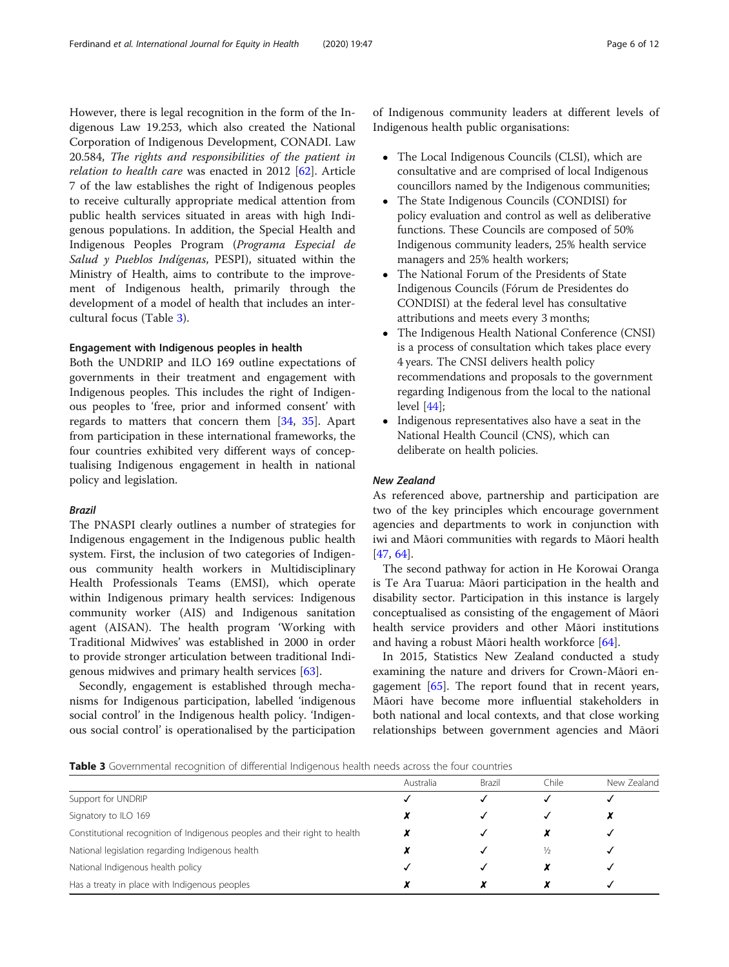However, there is legal recognition in the form of the Indigenous Law 19.253, which also created the National Corporation of Indigenous Development, CONADI. Law 20.584, The rights and responsibilities of the patient in relation to health care was enacted in 2012 [\[62\]](#page-11-0). Article 7 of the law establishes the right of Indigenous peoples to receive culturally appropriate medical attention from public health services situated in areas with high Indigenous populations. In addition, the Special Health and Indigenous Peoples Program (Programa Especial de Salud y Pueblos Indígenas, PESPI), situated within the Ministry of Health, aims to contribute to the improvement of Indigenous health, primarily through the development of a model of health that includes an intercultural focus (Table 3).

#### Engagement with Indigenous peoples in health

Both the UNDRIP and ILO 169 outline expectations of governments in their treatment and engagement with Indigenous peoples. This includes the right of Indigenous peoples to 'free, prior and informed consent' with regards to matters that concern them [[34,](#page-10-0) [35\]](#page-10-0). Apart from participation in these international frameworks, the four countries exhibited very different ways of conceptualising Indigenous engagement in health in national policy and legislation.

## Brazil

The PNASPI clearly outlines a number of strategies for Indigenous engagement in the Indigenous public health system. First, the inclusion of two categories of Indigenous community health workers in Multidisciplinary Health Professionals Teams (EMSI), which operate within Indigenous primary health services: Indigenous community worker (AIS) and Indigenous sanitation agent (AISAN). The health program 'Working with Traditional Midwives' was established in 2000 in order to provide stronger articulation between traditional Indigenous midwives and primary health services [\[63\]](#page-11-0).

Secondly, engagement is established through mechanisms for Indigenous participation, labelled 'indigenous social control' in the Indigenous health policy. 'Indigenous social control' is operationalised by the participation

of Indigenous community leaders at different levels of Indigenous health public organisations:

- The Local Indigenous Councils (CLSI), which are consultative and are comprised of local Indigenous councillors named by the Indigenous communities;
- The State Indigenous Councils (CONDISI) for policy evaluation and control as well as deliberative functions. These Councils are composed of 50% Indigenous community leaders, 25% health service managers and 25% health workers;
- The National Forum of the Presidents of State Indigenous Councils (Fórum de Presidentes do CONDISI) at the federal level has consultative attributions and meets every 3 months;
- The Indigenous Health National Conference (CNSI) is a process of consultation which takes place every 4 years. The CNSI delivers health policy recommendations and proposals to the government regarding Indigenous from the local to the national level [[44](#page-10-0)];
- Indigenous representatives also have a seat in the National Health Council (CNS), which can deliberate on health policies.

## New Zealand

As referenced above, partnership and participation are two of the key principles which encourage government agencies and departments to work in conjunction with iwi and Māori communities with regards to Māori health [[47,](#page-10-0) [64\]](#page-11-0).

The second pathway for action in He Korowai Oranga is Te Ara Tuarua: Māori participation in the health and disability sector. Participation in this instance is largely conceptualised as consisting of the engagement of Māori health service providers and other Māori institutions and having a robust Māori health workforce [[64\]](#page-11-0).

In 2015, Statistics New Zealand conducted a study examining the nature and drivers for Crown-Māori engagement [\[65\]](#page-11-0). The report found that in recent years, Māori have become more influential stakeholders in both national and local contexts, and that close working relationships between government agencies and Māori

Table 3 Governmental recognition of differential Indigenous health needs across the four countries

|                                                                            | Australia | Brazil | Chile | New Zealand |
|----------------------------------------------------------------------------|-----------|--------|-------|-------------|
| Support for UNDRIP                                                         |           |        |       |             |
| Signatory to ILO 169                                                       |           |        |       |             |
| Constitutional recognition of Indigenous peoples and their right to health |           |        |       |             |
| National legislation regarding Indigenous health                           |           |        | ⅓     |             |
| National Indigenous health policy                                          |           |        |       |             |
| Has a treaty in place with Indigenous peoples                              |           |        |       |             |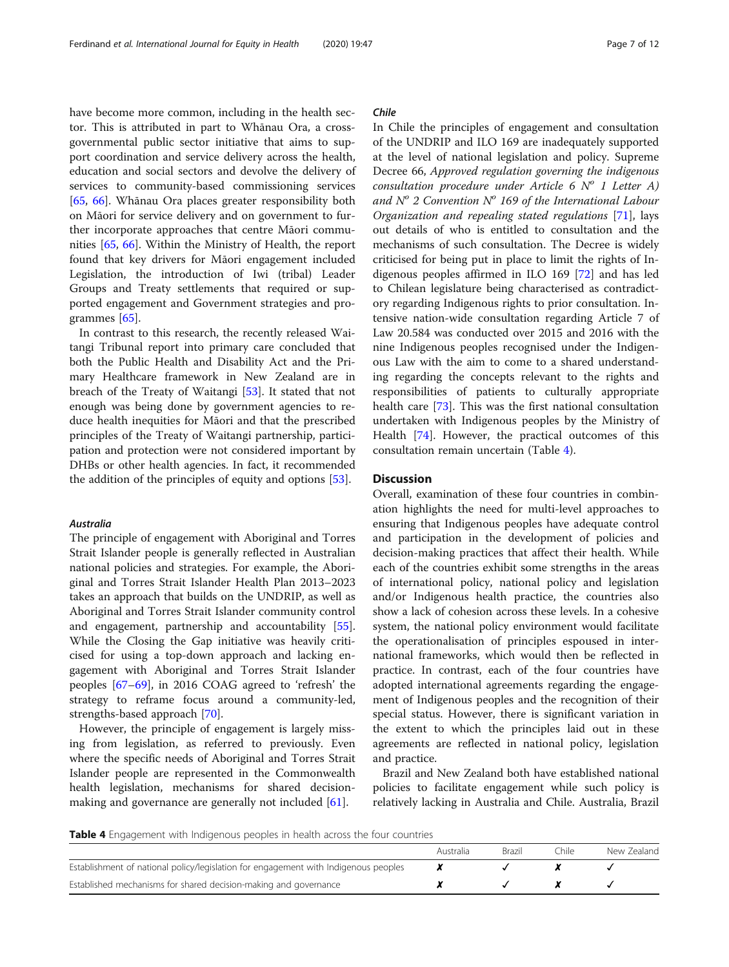have become more common, including in the health sector. This is attributed in part to Whānau Ora, a crossgovernmental public sector initiative that aims to support coordination and service delivery across the health, education and social sectors and devolve the delivery of services to community-based commissioning services [[65,](#page-11-0) [66](#page-11-0)]. Whānau Ora places greater responsibility both on Māori for service delivery and on government to further incorporate approaches that centre Māori communities [\[65,](#page-11-0) [66](#page-11-0)]. Within the Ministry of Health, the report found that key drivers for Māori engagement included Legislation, the introduction of Iwi (tribal) Leader Groups and Treaty settlements that required or supported engagement and Government strategies and programmes [\[65\]](#page-11-0).

In contrast to this research, the recently released Waitangi Tribunal report into primary care concluded that both the Public Health and Disability Act and the Primary Healthcare framework in New Zealand are in breach of the Treaty of Waitangi [[53\]](#page-10-0). It stated that not enough was being done by government agencies to reduce health inequities for Māori and that the prescribed principles of the Treaty of Waitangi partnership, participation and protection were not considered important by DHBs or other health agencies. In fact, it recommended the addition of the principles of equity and options [[53\]](#page-10-0).

## Australia

The principle of engagement with Aboriginal and Torres Strait Islander people is generally reflected in Australian national policies and strategies. For example, the Aboriginal and Torres Strait Islander Health Plan 2013–2023 takes an approach that builds on the UNDRIP, as well as Aboriginal and Torres Strait Islander community control and engagement, partnership and accountability [\[55](#page-10-0)]. While the Closing the Gap initiative was heavily criticised for using a top-down approach and lacking engagement with Aboriginal and Torres Strait Islander peoples [[67](#page-11-0)–[69](#page-11-0)], in 2016 COAG agreed to 'refresh' the strategy to reframe focus around a community-led, strengths-based approach [\[70](#page-11-0)].

However, the principle of engagement is largely missing from legislation, as referred to previously. Even where the specific needs of Aboriginal and Torres Strait Islander people are represented in the Commonwealth health legislation, mechanisms for shared decisionmaking and governance are generally not included [[61\]](#page-11-0).

## Chile

In Chile the principles of engagement and consultation of the UNDRIP and ILO 169 are inadequately supported at the level of national legislation and policy. Supreme Decree 66, Approved regulation governing the indigenous consultation procedure under Article 6  $N^{\circ}$  1 Letter A) and  $N^{\circ}$  2 Convention  $N^{\circ}$  169 of the International Labour Organization and repealing stated regulations [\[71\]](#page-11-0), lays out details of who is entitled to consultation and the mechanisms of such consultation. The Decree is widely criticised for being put in place to limit the rights of Indigenous peoples affirmed in ILO 169 [[72\]](#page-11-0) and has led to Chilean legislature being characterised as contradictory regarding Indigenous rights to prior consultation. Intensive nation-wide consultation regarding Article 7 of Law 20.584 was conducted over 2015 and 2016 with the nine Indigenous peoples recognised under the Indigenous Law with the aim to come to a shared understanding regarding the concepts relevant to the rights and responsibilities of patients to culturally appropriate health care [[73\]](#page-11-0). This was the first national consultation undertaken with Indigenous peoples by the Ministry of Health [[74\]](#page-11-0). However, the practical outcomes of this consultation remain uncertain (Table 4).

## **Discussion**

Overall, examination of these four countries in combination highlights the need for multi-level approaches to ensuring that Indigenous peoples have adequate control and participation in the development of policies and decision-making practices that affect their health. While each of the countries exhibit some strengths in the areas of international policy, national policy and legislation and/or Indigenous health practice, the countries also show a lack of cohesion across these levels. In a cohesive system, the national policy environment would facilitate the operationalisation of principles espoused in international frameworks, which would then be reflected in practice. In contrast, each of the four countries have adopted international agreements regarding the engagement of Indigenous peoples and the recognition of their special status. However, there is significant variation in the extent to which the principles laid out in these agreements are reflected in national policy, legislation and practice.

Brazil and New Zealand both have established national policies to facilitate engagement while such policy is relatively lacking in Australia and Chile. Australia, Brazil

Table 4 Engagement with Indigenous peoples in health across the four countries

|                                                                                     | Australia | Brazil | "hile | New Zealand |
|-------------------------------------------------------------------------------------|-----------|--------|-------|-------------|
| Establishment of national policy/legislation for engagement with Indigenous peoples |           |        |       |             |
| Established mechanisms for shared decision-making and governance                    |           |        |       |             |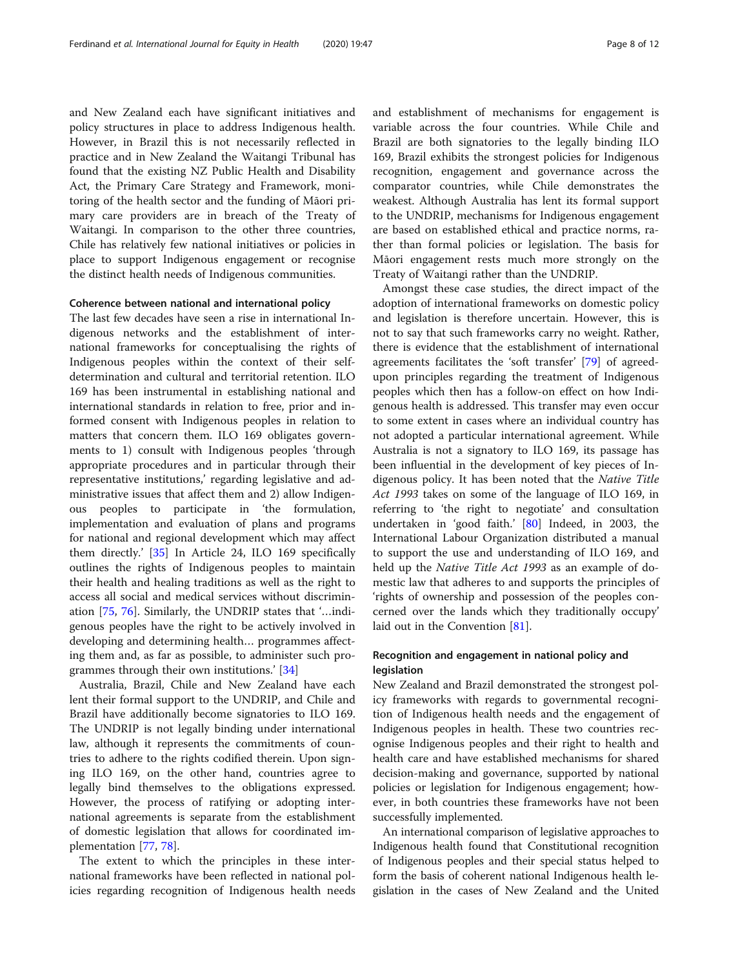and New Zealand each have significant initiatives and policy structures in place to address Indigenous health. However, in Brazil this is not necessarily reflected in practice and in New Zealand the Waitangi Tribunal has found that the existing NZ Public Health and Disability Act, the Primary Care Strategy and Framework, monitoring of the health sector and the funding of Māori primary care providers are in breach of the Treaty of Waitangi. In comparison to the other three countries, Chile has relatively few national initiatives or policies in place to support Indigenous engagement or recognise the distinct health needs of Indigenous communities.

## Coherence between national and international policy

The last few decades have seen a rise in international Indigenous networks and the establishment of international frameworks for conceptualising the rights of Indigenous peoples within the context of their selfdetermination and cultural and territorial retention. ILO 169 has been instrumental in establishing national and international standards in relation to free, prior and informed consent with Indigenous peoples in relation to matters that concern them. ILO 169 obligates governments to 1) consult with Indigenous peoples 'through appropriate procedures and in particular through their representative institutions,' regarding legislative and administrative issues that affect them and 2) allow Indigenous peoples to participate in 'the formulation, implementation and evaluation of plans and programs for national and regional development which may affect them directly.' [[35\]](#page-10-0) In Article 24, ILO 169 specifically outlines the rights of Indigenous peoples to maintain their health and healing traditions as well as the right to access all social and medical services without discrimination [[75,](#page-11-0) [76](#page-11-0)]. Similarly, the UNDRIP states that '…indigenous peoples have the right to be actively involved in developing and determining health… programmes affecting them and, as far as possible, to administer such programmes through their own institutions.' [\[34\]](#page-10-0)

Australia, Brazil, Chile and New Zealand have each lent their formal support to the UNDRIP, and Chile and Brazil have additionally become signatories to ILO 169. The UNDRIP is not legally binding under international law, although it represents the commitments of countries to adhere to the rights codified therein. Upon signing ILO 169, on the other hand, countries agree to legally bind themselves to the obligations expressed. However, the process of ratifying or adopting international agreements is separate from the establishment of domestic legislation that allows for coordinated implementation [[77,](#page-11-0) [78\]](#page-11-0).

The extent to which the principles in these international frameworks have been reflected in national policies regarding recognition of Indigenous health needs and establishment of mechanisms for engagement is variable across the four countries. While Chile and Brazil are both signatories to the legally binding ILO 169, Brazil exhibits the strongest policies for Indigenous recognition, engagement and governance across the comparator countries, while Chile demonstrates the weakest. Although Australia has lent its formal support to the UNDRIP, mechanisms for Indigenous engagement are based on established ethical and practice norms, rather than formal policies or legislation. The basis for Māori engagement rests much more strongly on the Treaty of Waitangi rather than the UNDRIP.

Amongst these case studies, the direct impact of the adoption of international frameworks on domestic policy and legislation is therefore uncertain. However, this is not to say that such frameworks carry no weight. Rather, there is evidence that the establishment of international agreements facilitates the 'soft transfer' [\[79](#page-11-0)] of agreedupon principles regarding the treatment of Indigenous peoples which then has a follow-on effect on how Indigenous health is addressed. This transfer may even occur to some extent in cases where an individual country has not adopted a particular international agreement. While Australia is not a signatory to ILO 169, its passage has been influential in the development of key pieces of Indigenous policy. It has been noted that the Native Title Act 1993 takes on some of the language of ILO 169, in referring to 'the right to negotiate' and consultation undertaken in 'good faith.' [[80\]](#page-11-0) Indeed, in 2003, the International Labour Organization distributed a manual to support the use and understanding of ILO 169, and held up the Native Title Act 1993 as an example of domestic law that adheres to and supports the principles of 'rights of ownership and possession of the peoples concerned over the lands which they traditionally occupy' laid out in the Convention [[81](#page-11-0)].

## Recognition and engagement in national policy and legislation

New Zealand and Brazil demonstrated the strongest policy frameworks with regards to governmental recognition of Indigenous health needs and the engagement of Indigenous peoples in health. These two countries recognise Indigenous peoples and their right to health and health care and have established mechanisms for shared decision-making and governance, supported by national policies or legislation for Indigenous engagement; however, in both countries these frameworks have not been successfully implemented.

An international comparison of legislative approaches to Indigenous health found that Constitutional recognition of Indigenous peoples and their special status helped to form the basis of coherent national Indigenous health legislation in the cases of New Zealand and the United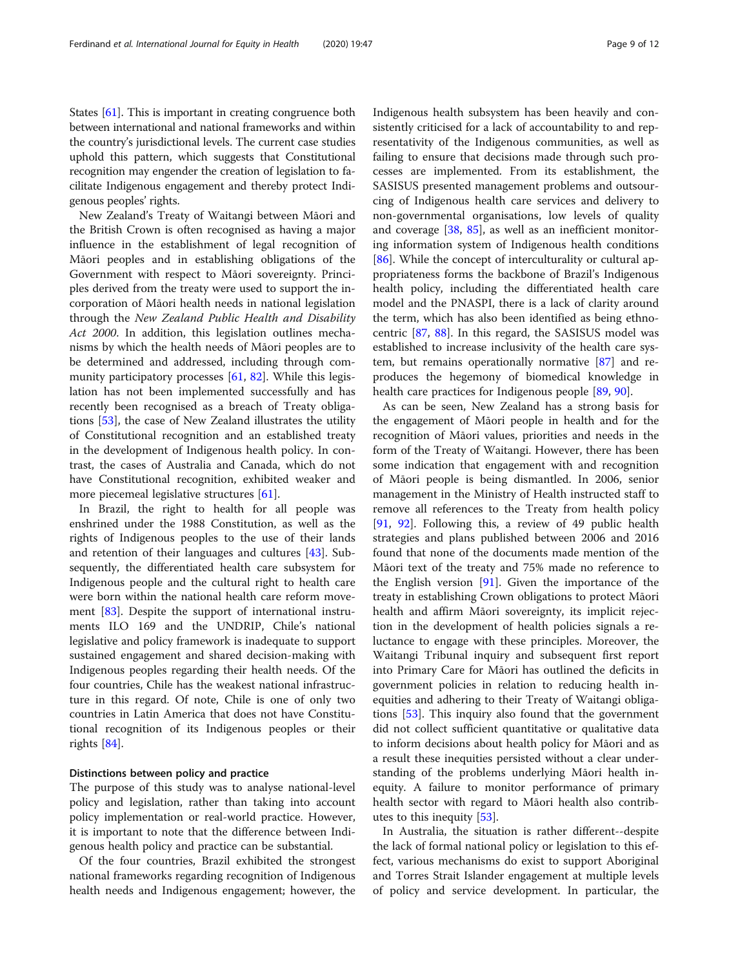States [\[61\]](#page-11-0). This is important in creating congruence both between international and national frameworks and within the country's jurisdictional levels. The current case studies uphold this pattern, which suggests that Constitutional recognition may engender the creation of legislation to facilitate Indigenous engagement and thereby protect Indigenous peoples' rights.

New Zealand's Treaty of Waitangi between Māori and the British Crown is often recognised as having a major influence in the establishment of legal recognition of Māori peoples and in establishing obligations of the Government with respect to Māori sovereignty. Principles derived from the treaty were used to support the incorporation of Māori health needs in national legislation through the New Zealand Public Health and Disability Act 2000. In addition, this legislation outlines mechanisms by which the health needs of Māori peoples are to be determined and addressed, including through community participatory processes [\[61](#page-11-0), [82](#page-11-0)]. While this legislation has not been implemented successfully and has recently been recognised as a breach of Treaty obligations [\[53](#page-10-0)], the case of New Zealand illustrates the utility of Constitutional recognition and an established treaty in the development of Indigenous health policy. In contrast, the cases of Australia and Canada, which do not have Constitutional recognition, exhibited weaker and more piecemeal legislative structures [[61\]](#page-11-0).

In Brazil, the right to health for all people was enshrined under the 1988 Constitution, as well as the rights of Indigenous peoples to the use of their lands and retention of their languages and cultures [[43](#page-10-0)]. Subsequently, the differentiated health care subsystem for Indigenous people and the cultural right to health care were born within the national health care reform movement [[83](#page-11-0)]. Despite the support of international instruments ILO 169 and the UNDRIP, Chile's national legislative and policy framework is inadequate to support sustained engagement and shared decision-making with Indigenous peoples regarding their health needs. Of the four countries, Chile has the weakest national infrastructure in this regard. Of note, Chile is one of only two countries in Latin America that does not have Constitutional recognition of its Indigenous peoples or their rights [[84\]](#page-11-0).

## Distinctions between policy and practice

The purpose of this study was to analyse national-level policy and legislation, rather than taking into account policy implementation or real-world practice. However, it is important to note that the difference between Indigenous health policy and practice can be substantial.

Of the four countries, Brazil exhibited the strongest national frameworks regarding recognition of Indigenous health needs and Indigenous engagement; however, the Indigenous health subsystem has been heavily and consistently criticised for a lack of accountability to and representativity of the Indigenous communities, as well as failing to ensure that decisions made through such processes are implemented. From its establishment, the SASISUS presented management problems and outsourcing of Indigenous health care services and delivery to non-governmental organisations, low levels of quality and coverage [[38,](#page-10-0) [85](#page-11-0)], as well as an inefficient monitoring information system of Indigenous health conditions [[86\]](#page-11-0). While the concept of interculturality or cultural appropriateness forms the backbone of Brazil's Indigenous health policy, including the differentiated health care model and the PNASPI, there is a lack of clarity around the term, which has also been identified as being ethnocentric [[87](#page-11-0), [88](#page-11-0)]. In this regard, the SASISUS model was established to increase inclusivity of the health care system, but remains operationally normative [[87](#page-11-0)] and reproduces the hegemony of biomedical knowledge in health care practices for Indigenous people [\[89](#page-11-0), [90](#page-11-0)].

As can be seen, New Zealand has a strong basis for the engagement of Māori people in health and for the recognition of Māori values, priorities and needs in the form of the Treaty of Waitangi. However, there has been some indication that engagement with and recognition of Māori people is being dismantled. In 2006, senior management in the Ministry of Health instructed staff to remove all references to the Treaty from health policy [[91,](#page-11-0) [92\]](#page-11-0). Following this, a review of 49 public health strategies and plans published between 2006 and 2016 found that none of the documents made mention of the Māori text of the treaty and 75% made no reference to the English version  $[91]$  $[91]$ . Given the importance of the treaty in establishing Crown obligations to protect Māori health and affirm Māori sovereignty, its implicit rejection in the development of health policies signals a reluctance to engage with these principles. Moreover, the Waitangi Tribunal inquiry and subsequent first report into Primary Care for Māori has outlined the deficits in government policies in relation to reducing health inequities and adhering to their Treaty of Waitangi obligations [[53\]](#page-10-0). This inquiry also found that the government did not collect sufficient quantitative or qualitative data to inform decisions about health policy for Māori and as a result these inequities persisted without a clear understanding of the problems underlying Māori health inequity. A failure to monitor performance of primary health sector with regard to Māori health also contributes to this inequity [\[53](#page-10-0)].

In Australia, the situation is rather different--despite the lack of formal national policy or legislation to this effect, various mechanisms do exist to support Aboriginal and Torres Strait Islander engagement at multiple levels of policy and service development. In particular, the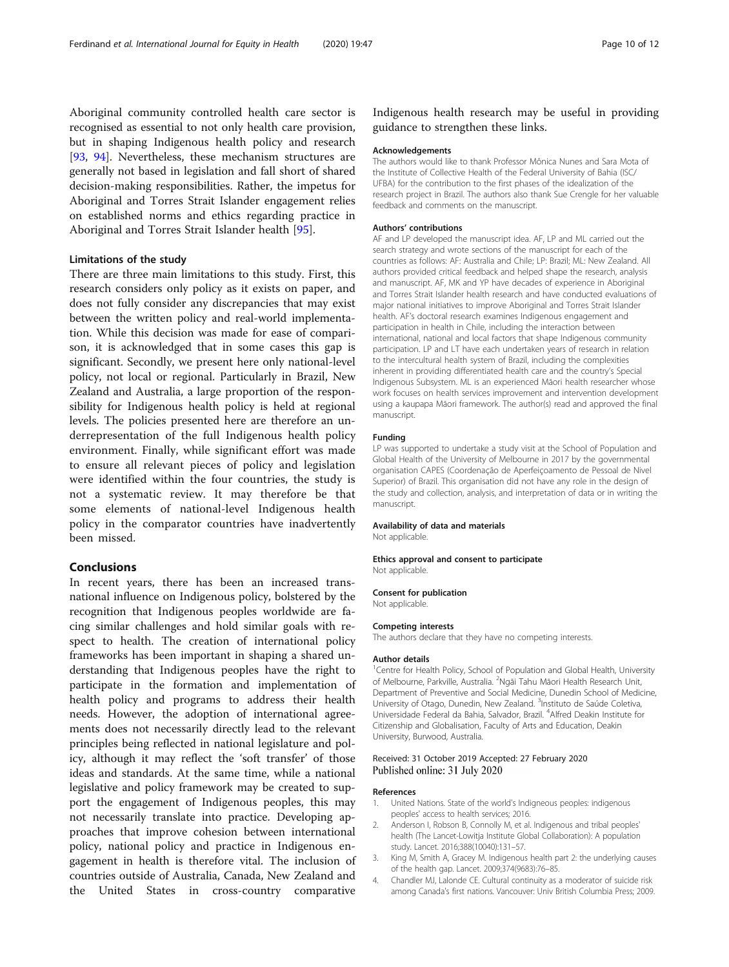<span id="page-9-0"></span>Aboriginal community controlled health care sector is recognised as essential to not only health care provision, but in shaping Indigenous health policy and research [[93,](#page-11-0) [94](#page-11-0)]. Nevertheless, these mechanism structures are generally not based in legislation and fall short of shared decision-making responsibilities. Rather, the impetus for Aboriginal and Torres Strait Islander engagement relies on established norms and ethics regarding practice in Aboriginal and Torres Strait Islander health [[95](#page-11-0)].

#### Limitations of the study

There are three main limitations to this study. First, this research considers only policy as it exists on paper, and does not fully consider any discrepancies that may exist between the written policy and real-world implementation. While this decision was made for ease of comparison, it is acknowledged that in some cases this gap is significant. Secondly, we present here only national-level policy, not local or regional. Particularly in Brazil, New Zealand and Australia, a large proportion of the responsibility for Indigenous health policy is held at regional levels. The policies presented here are therefore an underrepresentation of the full Indigenous health policy environment. Finally, while significant effort was made to ensure all relevant pieces of policy and legislation were identified within the four countries, the study is not a systematic review. It may therefore be that some elements of national-level Indigenous health policy in the comparator countries have inadvertently been missed.

## Conclusions

In recent years, there has been an increased transnational influence on Indigenous policy, bolstered by the recognition that Indigenous peoples worldwide are facing similar challenges and hold similar goals with respect to health. The creation of international policy frameworks has been important in shaping a shared understanding that Indigenous peoples have the right to participate in the formation and implementation of health policy and programs to address their health needs. However, the adoption of international agreements does not necessarily directly lead to the relevant principles being reflected in national legislature and policy, although it may reflect the 'soft transfer' of those ideas and standards. At the same time, while a national legislative and policy framework may be created to support the engagement of Indigenous peoples, this may not necessarily translate into practice. Developing approaches that improve cohesion between international policy, national policy and practice in Indigenous engagement in health is therefore vital. The inclusion of countries outside of Australia, Canada, New Zealand and the United States in cross-country comparative

## Indigenous health research may be useful in providing guidance to strengthen these links.

#### Acknowledgements

The authors would like to thank Professor Mônica Nunes and Sara Mota of the Institute of Collective Health of the Federal University of Bahia (ISC/ UFBA) for the contribution to the first phases of the idealization of the research project in Brazil. The authors also thank Sue Crengle for her valuable feedback and comments on the manuscript.

#### Authors' contributions

AF and LP developed the manuscript idea. AF, LP and ML carried out the search strategy and wrote sections of the manuscript for each of the countries as follows: AF: Australia and Chile; LP: Brazil; ML: New Zealand. All authors provided critical feedback and helped shape the research, analysis and manuscript. AF, MK and YP have decades of experience in Aboriginal and Torres Strait Islander health research and have conducted evaluations of major national initiatives to improve Aboriginal and Torres Strait Islander health. AF's doctoral research examines Indigenous engagement and participation in health in Chile, including the interaction between international, national and local factors that shape Indigenous community participation. LP and LT have each undertaken years of research in relation to the intercultural health system of Brazil, including the complexities inherent in providing differentiated health care and the country's Special Indigenous Subsystem. ML is an experienced Māori health researcher whose work focuses on health services improvement and intervention development using a kaupapa Māori framework. The author(s) read and approved the final manuscript.

#### Funding

LP was supported to undertake a study visit at the School of Population and Global Health of the University of Melbourne in 2017 by the governmental organisation CAPES (Coordenação de Aperfeiçoamento de Pessoal de Nivel Superior) of Brazil. This organisation did not have any role in the design of the study and collection, analysis, and interpretation of data or in writing the manuscript.

## Availability of data and materials

Not applicable.

## Ethics approval and consent to participate

Not applicable.

#### Consent for publication

Not applicable.

#### Competing interests

The authors declare that they have no competing interests.

#### Author details

<sup>1</sup> Centre for Health Policy, School of Population and Global Health, University of Melbourne, Parkville, Australia. <sup>2</sup>Ngāi Tahu Māori Health Research Unit Department of Preventive and Social Medicine, Dunedin School of Medicine, University of Otago, Dunedin, New Zealand. <sup>3</sup>Instituto de Saúde Coletiva Universidade Federal da Bahia, Salvador, Brazil. <sup>4</sup>Alfred Deakin Institute for Citizenship and Globalisation, Faculty of Arts and Education, Deakin University, Burwood, Australia.

## Received: 31 October 2019 Accepted: 27 February 2020 Published online: 31 July 2020

#### References

- 1. United Nations. State of the world's Indigneous peoples: indigenous peoples' access to health services; 2016.
- 2. Anderson I, Robson B, Connolly M, et al. Indigenous and tribal peoples' health (The Lancet-Lowitja Institute Global Collaboration): A population study. Lancet. 2016;388(10040):131–57.
- 3. King M, Smith A, Gracey M. Indigenous health part 2: the underlying causes of the health gap. Lancet. 2009;374(9683):76–85.
- 4. Chandler MJ, Lalonde CE. Cultural continuity as a moderator of suicide risk among Canada's first nations. Vancouver: Univ British Columbia Press; 2009.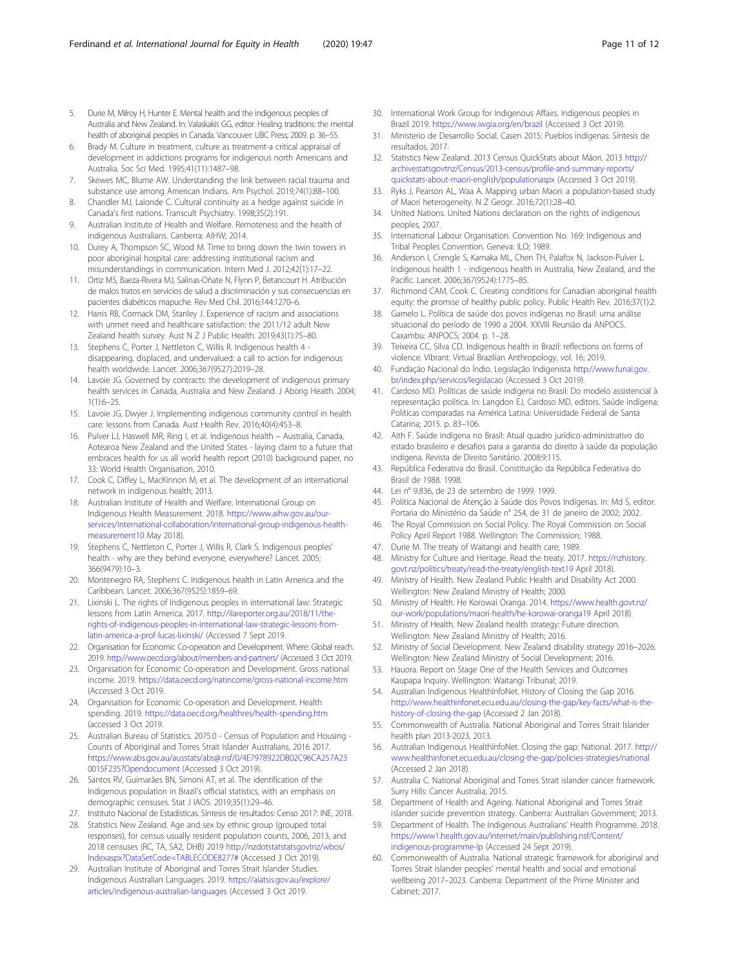- <span id="page-10-0"></span>5. Durie M, Milroy H, Hunter E. Mental health and the indigenous peoples of Australia and New Zealand. In: Valaskakis GG, editor. Healing traditions: the mental health of aboriginal peoples in Canada. Vancouver: UBC Press; 2009. p. 36–55.
- 6. Brady M. Culture in treatment, culture as treatment-a critical appraisal of development in addictions programs for indigenous north Americans and Australia. Soc Sci Med. 1995;41(11):1487–98.
- 7. Skewes MC, Blume AW. Understanding the link between racial trauma and substance use among American Indians. Am Psychol. 2019;74(1):88–100.
- 8. Chandler MJ, Lalonde C. Cultural continuity as a hedge against suicide in Canada's first nations. Transcult Psychiatry. 1998;35(2):191.
- 9. Australian Institute of Health and Welfare. Remoteness and the health of indigenous Australians. Canberra: AIHW; 2014.
- 10. Durey A, Thompson SC, Wood M. Time to bring down the twin towers in poor aboriginal hospital care: addressing institutional racism and misunderstandings in communication. Intern Med J. 2012;42(1):17–22.
- 11. Ortiz MS, Baeza-Rivera MJ, Salinas-Oñate N, Flynn P, Betancourt H. Atribución de malos tratos en servicios de salud a discriminación y sus consecuencias en pacientes diabéticos mapuche. Rev Med Chil. 2016;144:1270–6.
- 12. Harris RB, Cormack DM, Stanley J. Experience of racism and associations with unmet need and healthcare satisfaction: the 2011/12 adult New Zealand health survey. Aust N Z J Public Health. 2019;43(1):75–80.
- 13. Stephens C, Porter J, Nettleton C, Willis R. Indigenous health 4 disappearing, displaced, and undervalued: a call to action for indigenous health worldwide. Lancet. 2006;367(9527):2019–28.
- Lavoie JG. Governed by contracts: the development of indigenous primary health services in Canada, Australia and New Zealand. J Aborig Health. 2004; 1(1):6–25.
- 15. Lavoie JG, Dwyer J. Implementing indigenous community control in health care: lessons from Canada. Aust Health Rev. 2016;40(4):453–8.
- 16. Pulver LJ, Haswell MR, Ring I, et al. Indigenous health Australia, Canada, Aotearoa New Zealand and the United States - laying claim to a future that embraces health for us all world health report (2010) background paper, no 33: World Health Organisation, 2010.
- 17. Cook C, Diffey L, MacKinnon M, et al. The development of an international network in indigenous health; 2013.
- 18. Australian Institute of Health and Welfare. International Group on Indigenous Health Measurement. 2018. [https://www.aihw.gov.au/our](https://www.aihw.gov.au/our-services/international-collaboration/international-group-indigenous-health-measurement10)[services/international-collaboration/international-group-indigenous-health](https://www.aihw.gov.au/our-services/international-collaboration/international-group-indigenous-health-measurement10)[measurement10](https://www.aihw.gov.au/our-services/international-collaboration/international-group-indigenous-health-measurement10) May 2018).
- 19. Stephens C, Nettleton C, Porter J, Willis R, Clark S. Indigenous peoples' health - why are they behind everyone, everywhere? Lancet. 2005; 366(9479):10–3.
- 20. Montenegro RA, Stephens C. Indigenous health in Latin America and the Caribbean. Lancet. 2006;367(9525):1859–69.
- 21. Lixinski L. The rights of Indigenous peoples in international law: Strategic lessons from Latin America. 2017. [http://ilareporter.org.au/2018/11/the](http://ilareporter.org.au/2018/11/the-rights-of-indigenous-peoples-in-international-law-strategic-lessons-from-latin-america-a-prof-lucas-lixinski/)[rights-of-indigenous-peoples-in-international-law-strategic-lessons-from](http://ilareporter.org.au/2018/11/the-rights-of-indigenous-peoples-in-international-law-strategic-lessons-from-latin-america-a-prof-lucas-lixinski/)[latin-america-a-prof-lucas-lixinski/](http://ilareporter.org.au/2018/11/the-rights-of-indigenous-peoples-in-international-law-strategic-lessons-from-latin-america-a-prof-lucas-lixinski/) (Accessed 7 Sept 2019.
- 22. Organisation for Economic Co-operation and Development. Where: Global reach. 2019. <http://www.oecd.org/about/members-and-partners/> (Accessed 3 Oct 2019.
- 23. Organisation for Economic Co-operation and Development. Gross national income. 2019. <https://data.oecd.org/natincome/gross-national-income.htm> (Accessed 3 Oct 2019.
- 24. Organisation for Economic Co-operation and Development. Health spending. 2019. <https://data.oecd.org/healthres/health-spending.htm> (accessed 3 Oct 2019.
- 25. Australian Bureau of Statistics. 2075.0 Census of Population and Housing Counts of Aboriginal and Torres Strait Islander Australians, 2016 2017. [https://www.abs.gov.au/ausstats/abs@.nsf/0/4E7978922DB02C96CA257A23](https://www.abs.gov.au/ausstats/abs@.nsf/0/4E7978922DB02C96CA257A230015F235?Opendocument) [0015F235?Opendocument](https://www.abs.gov.au/ausstats/abs@.nsf/0/4E7978922DB02C96CA257A230015F235?Opendocument) (Accessed 3 Oct 2019).
- 26. Santos RV, Guimarães BN, Simoni AT, et al. The identification of the Indigenous population in Brazil's official statistics, with an emphasis on demographic censuses. Stat J IAOS. 2019;35(1):29–46.
- 27. Instituto Nacional de Estadísticas. Síntesis de resultados: Censo 2017: INE, 2018.
- 28. Statistics New Zealand. Age and sex by ethnic group (grouped total responses), for census usually resident population counts, 2006, 2013, and 2018 censuses (RC, TA, SA2, DHB) 2019 [http://nzdotstatstatsgovtnz/wbos/](http://nzdotstat.stats.govt.nz/wbos/Index.aspx?DataSetCode=TABLECODE8277#) [Indexaspx?DataSetCode=TABLECODE8277#](http://nzdotstat.stats.govt.nz/wbos/Index.aspx?DataSetCode=TABLECODE8277#) (Accessed 3 Oct 2019).
- 29. Australian Institute of Aboriginal and Torres Strait Islander Studies. Indigenous Australian Languages. 2019. [https://aiatsis.gov.au/explore/](https://aiatsis.gov.au/explore/articles/indigenous-australian-languages) [articles/indigenous-australian-languages](https://aiatsis.gov.au/explore/articles/indigenous-australian-languages) (Accessed 3 Oct 2019.
- 30. International Work Group for Indigenous Affairs. Indigenous peoples in Brazil 2019. <https://www.iwgia.org/en/brazil> (Accessed 3 Oct 2019).
- 31. Ministerio de Desarrollo Social. Casen 2015: Pueblos indígenas: Síntesis de resultados, 2017.
- 32. Statistics New Zealand. 2013 Census QuickStats about Māori. 2013 [http://](http://archive.stats.govt.nz/Census/2013-census/profile-and-summary-reports/quickstats-about-maori-english/population.aspx) [archivestatsgovtnz/Census/2013-census/profile-and-summary-reports/](http://archive.stats.govt.nz/Census/2013-census/profile-and-summary-reports/quickstats-about-maori-english/population.aspx) [quickstats-about-maori-english/populationaspx](http://archive.stats.govt.nz/Census/2013-census/profile-and-summary-reports/quickstats-about-maori-english/population.aspx) (Accessed 3 Oct 2019).
- 33. Ryks J, Pearson AL, Waa A. Mapping urban Maori: a population-based study of Maori heterogeneity. N Z Geogr. 2016;72(1):28–40.
- 34. United Nations. United Nations declaration on the rights of indigenous peoples, 2007.
- 35. International Labour Organisation. Convention No. 169: Indigenous and Tribal Peoples Convention. Geneva: ILO; 1989.
- 36. Anderson I, Crengle S, Kamaka ML, Chen TH, Palafox N, Jackson-Pulver L. Indigenous health 1 - indigenous health in Australia, New Zealand, and the Pacific. Lancet. 2006;367(9524):1775–85.
- 37. Richmond CAM, Cook C. Creating conditions for Canadian aboriginal health equity: the promise of healthy public policy. Public Health Rev. 2016;37(1):2.
- 38. Garnelo L. Política de saúde dos povos indígenas no Brasil: uma análise situacional do período de 1990 a 2004. XXVIII Reunião da ANPOCS. Caxambu: ANPOCS; 2004. p. 1–28.
- 39. Teixeira CC, Silva CD. Indigenous health in Brazil: reflections on forms of violence. Vibrant: Virtual Brazilian Anthropology, vol. 16; 2019.
- 40. Fundação Nacional do Índio. Legislação Indigenista [http://www.funai.gov.](http://www.funai.gov.br/index.php/servicos/legislacao) [br/index.php/servicos/legislacao](http://www.funai.gov.br/index.php/servicos/legislacao) (Accessed 3 Oct 2019).
- 41. Cardoso MD. Políticas de saúde indígena no Brasil: Do modelo assistencial à representação política. In: Langdon EJ, Cardoso MD, editors. Saúde indígena: Políticas comparadas na América Latina: Universidade Federal de Santa Catarina; 2015. p. 83–106.
- 42. Aith F. Saúde indígena no Brasil: Atual quadro jurídico-administrativo do estado brasileiro e desafios para a garantia do direito à saúde da população indígena. Revista de Direito Sanitário. 2008;9:115.
- 43. República Federativa do Brasil. Constituição da República Federativa do Brasil de 1988. 1998.
- 44. Lei n° 9.836, de 23 de setembro de 1999. 1999.
- 45. Política Nacional de Atenção à Saúde dos Povos Indígenas. In: Md S, editor. Portaria do Ministério da Saúde n° 254, de 31 de janeiro de 2002; 2002.
- The Royal Commission on Social Policy. The Royal Commission on Social Policy April Report 1988. Wellington: The Commission; 1988.
- 47. Durie M. The treaty of Waitangi and health care; 1989.
- 48. Ministry for Culture and Heritage. Read the treaty. 2017. [https://nzhistory.](https://nzhistory.govt.nz/politics/treaty/read-the-treaty/english-text19) [govt.nz/politics/treaty/read-the-treaty/english-text19](https://nzhistory.govt.nz/politics/treaty/read-the-treaty/english-text19) April 2018).
- 49. Ministry of Health. New Zealand Public Health and Disability Act 2000. Wellington: New Zealand Ministry of Health; 2000.
- 50. Ministry of Health. He Korowai Oranga. 2014. [https://www.health.govt.nz/](https://www.health.govt.nz/our-work/populations/maori-health/he-korowai-oranga/pathways-action/te-ara-tuarua-pathway-2-maori-participation-health-and-disability-sector19) [our-work/populations/maori-health/he-korowai-oranga19](https://www.health.govt.nz/our-work/populations/maori-health/he-korowai-oranga/pathways-action/te-ara-tuarua-pathway-2-maori-participation-health-and-disability-sector19) April 2018).
- Ministry of Health. New Zealand health strategy: Future direction. Wellington: New Zealand Ministry of Health; 2016.
- 52. Ministry of Social Development. New Zealand disability strategy 2016–2026. Wellington: New Zealand Ministry of Social Development; 2016.
- 53. Hauora. Report on Stage One of the Health Services and Outcomes Kaupapa Inquiry. Wellington: Waitangi Tribunal; 2019.
- 54. Australian Indigenous HealthInfoNet. History of Closing the Gap 2016. [http://www.healthinfonet.ecu.edu.au/closing-the-gap/key-facts/what-is-the](http://www.healthinfonet.ecu.edu.au/closing-the-gap/key-facts/what-is-the-history-of-closing-the-gap)[history-of-closing-the-gap](http://www.healthinfonet.ecu.edu.au/closing-the-gap/key-facts/what-is-the-history-of-closing-the-gap) (Accessed 2 Jan 2018).
- 55. Commonwealth of Australia. National Aboriginal and Torres Strait Islander health plan 2013-2023, 2013.
- 56. Australian Indigenous HealthInfoNet. Closing the gap: National. 2017. [http://](http://www.healthinfonet.ecu.edu.au/closing-the-gap/policies-strategies/national) [www.healthinfonet.ecu.edu.au/closing-the-gap/policies-strategies/national](http://www.healthinfonet.ecu.edu.au/closing-the-gap/policies-strategies/national) (Accessed 2 Jan 2018).
- 57. Australia C. National Aboriginal and Torres Strait islander cancer framework. Surry Hills: Cancer Australia; 2015.
- 58. Department of Health and Ageing. National Aboriginal and Torres Strait
- islander suicide prevention strategy. Canberra: Australian Government; 2013. 59. Department of Health. The Indigenous Australians' Health Programme. 2018. [https://www1.health.gov.au/internet/main/publishing.nsf/Content/](https://www1.health.gov.au/internet/main/publishing.nsf/Content/indigenous-programme-lp) [indigenous-programme-lp](https://www1.health.gov.au/internet/main/publishing.nsf/Content/indigenous-programme-lp) (Accessed 24 Sept 2019).
- 60. Commonwealth of Australia. National strategic framework for aboriginal and Torres Strait islander peoples' mental health and social and emotional wellbeing 2017–2023. Canberra: Department of the Prime Minister and Cabinet; 2017.